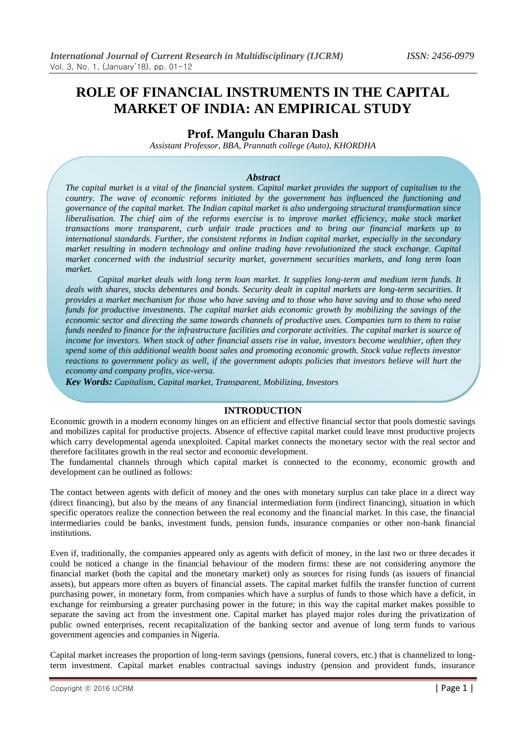# **ROLE OF FINANCIAL INSTRUMENTS IN THE CAPITAL MARKET OF INDIA: AN EMPIRICAL STUDY**

# **Prof. Mangulu Charan Dash**

*Assistant Professor, BBA, Prannath college (Auto), KHORDHA*

## *Abstract*

*The capital market is a vital of the financial system. Capital market provides the support of capitalism to the country. The wave of economic reforms initiated by the government has influenced the functioning and governance of the capital market. The Indian capital market is also undergoing structural transformation since liberalisation. The chief aim of the reforms exercise is to improve market efficiency, make stock market transactions more transparent, curb unfair trade practices and to bring our financial markets up to international standards. Further, the consistent reforms in Indian capital market, especially in the secondary market resulting in modern technology and online trading have revolutionized the stock exchange. Capital market concerned with the industrial security market, government securities markets, and long term loan market.* 

*Capital market deals with long term loan market. It supplies long-term and medium term funds. It deals with shares, stocks debentures and bonds. Security dealt in capital markets are long-term securities. It provides a market mechanism for those who have saving and to those who have saving and to those who need funds for productive investments. The capital market aids economic growth by mobilizing the savings of the economic sector and directing the same towards channels of productive uses. Companies turn to them to raise funds needed to finance for the infrastructure facilities and corporate activities. The capital market is source of income for investors. When stock of other financial assets rise in value, investors become wealthier, often they spend some of this additional wealth boost sales and promoting economic growth. Stock value reflects investor reactions to government policy as well, if the government adopts policies that investors believe will hurt the economy and company profits, vice-versa.*

*Key Words: Capitalism, Capital market, Transparent, Mobilizing, Investors*

## **INTRODUCTION**

Economic growth in a modern economy hinges on an efficient and effective financial sector that pools domestic savings and mobilizes capital for productive projects. Absence of effective capital market could leave most productive projects which carry developmental agenda unexploited. Capital market connects the monetary sector with the real sector and therefore facilitates growth in the real sector and economic development.

The fundamental channels through which capital market is connected to the economy, economic growth and development can be outlined as follows:

The contact between agents with deficit of money and the ones with monetary surplus can take place in a direct way (direct financing), but also by the means of any financial intermediation form (indirect financing), situation in which specific operators realize the connection between the real economy and the financial market. In this case, the financial intermediaries could be banks, investment funds, pension funds, insurance companies or other non-bank financial institutions.

Even if, traditionally, the companies appeared only as agents with deficit of money, in the last two or three decades it could be noticed a change in the financial behaviour of the modern firms: these are not considering anymore the financial market (both the capital and the monetary market) only as sources for rising funds (as issuers of financial assets), but appears more often as buyers of financial assets. The capital market fulfils the transfer function of current purchasing power, in monetary form, from companies which have a surplus of funds to those which have a deficit, in exchange for reimbursing a greater purchasing power in the future; in this way the capital market makes possible to separate the saving act from the investment one. Capital market has played major roles during the privatization of public owned enterprises, recent recapitalization of the banking sector and avenue of long term funds to various government agencies and companies in Nigeria.

Capital market increases the proportion of long-term savings (pensions, funeral covers, etc.) that is channelized to longterm investment. Capital market enables contractual savings industry (pension and provident funds, insurance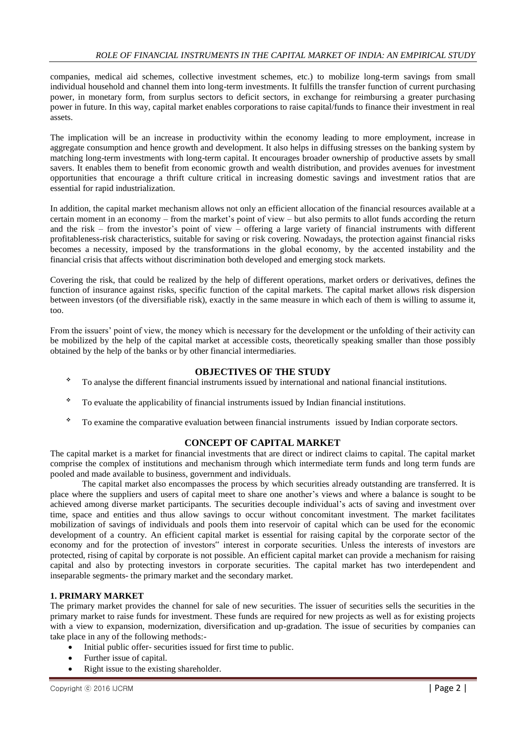companies, medical aid schemes, collective investment schemes, etc.) to mobilize long-term savings from small individual household and channel them into long-term investments. It fulfills the transfer function of current purchasing power, in monetary form, from surplus sectors to deficit sectors, in exchange for reimbursing a greater purchasing power in future. In this way, capital market enables corporations to raise capital/funds to finance their investment in real assets.

The implication will be an increase in productivity within the economy leading to more employment, increase in aggregate consumption and hence growth and development. It also helps in diffusing stresses on the banking system by matching long-term investments with long-term capital. It encourages broader ownership of productive assets by small savers. It enables them to benefit from economic growth and wealth distribution, and provides avenues for investment opportunities that encourage a thrift culture critical in increasing domestic savings and investment ratios that are essential for rapid industrialization.

In addition, the capital market mechanism allows not only an efficient allocation of the financial resources available at a certain moment in an economy – from the market's point of view – but also permits to allot funds according the return and the risk – from the investor's point of view – offering a large variety of financial instruments with different profitableness-risk characteristics, suitable for saving or risk covering. Nowadays, the protection against financial risks becomes a necessity, imposed by the transformations in the global economy, by the accented instability and the financial crisis that affects without discrimination both developed and emerging stock markets.

Covering the risk, that could be realized by the help of different operations, market orders or derivatives, defines the function of insurance against risks, specific function of the capital markets. The capital market allows risk dispersion between investors (of the diversifiable risk), exactly in the same measure in which each of them is willing to assume it, too.

From the issuers' point of view, the money which is necessary for the development or the unfolding of their activity can be mobilized by the help of the capital market at accessible costs, theoretically speaking smaller than those possibly obtained by the help of the banks or by other financial intermediaries.

# **OBJECTIVES OF THE STUDY**

- To analyse the different financial instruments issued by international and national financial institutions.
- To evaluate the applicability of financial instruments issued by Indian financial institutions.
- To examine the comparative evaluation between financial instruments issued by Indian corporate sectors.

# **CONCEPT OF CAPITAL MARKET**

The capital market is a market for financial investments that are direct or indirect claims to capital. The capital market comprise the complex of institutions and mechanism through which intermediate term funds and long term funds are pooled and made available to business, government and individuals.

The capital market also encompasses the process by which securities already outstanding are transferred. It is place where the suppliers and users of capital meet to share one another's views and where a balance is sought to be achieved among diverse market participants. The securities decouple individual's acts of saving and investment over time, space and entities and thus allow savings to occur without concomitant investment. The market facilitates mobilization of savings of individuals and pools them into reservoir of capital which can be used for the economic development of a country. An efficient capital market is essential for raising capital by the corporate sector of the economy and for the protection of investors" interest in corporate securities. Unless the interests of investors are protected, rising of capital by corporate is not possible. An efficient capital market can provide a mechanism for raising capital and also by protecting investors in corporate securities. The capital market has two interdependent and inseparable segments- the primary market and the secondary market.

# **1. PRIMARY MARKET**

The primary market provides the channel for sale of new securities. The issuer of securities sells the securities in the primary market to raise funds for investment. These funds are required for new projects as well as for existing projects with a view to expansion, modernization, diversification and up-gradation. The issue of securities by companies can take place in any of the following methods:-

- Initial public offer- securities issued for first time to public.
- Further issue of capital.
- Right issue to the existing shareholder.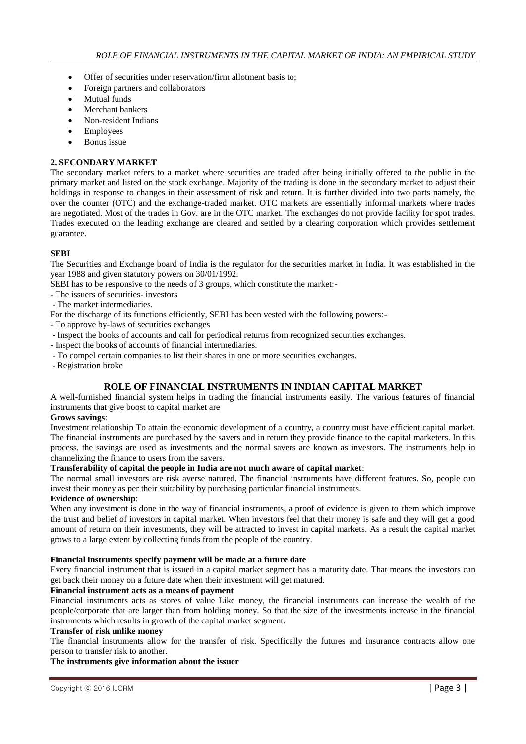- Offer of securities under reservation/firm allotment basis to;
- Foreign partners and collaborators
- Mutual funds
- Merchant bankers
- Non-resident Indians
- Employees
- Bonus issue

## **2. SECONDARY MARKET**

The secondary market refers to a market where securities are traded after being initially offered to the public in the primary market and listed on the stock exchange. Majority of the trading is done in the secondary market to adjust their holdings in response to changes in their assessment of risk and return. It is further divided into two parts namely, the over the counter (OTC) and the exchange-traded market. OTC markets are essentially informal markets where trades are negotiated. Most of the trades in Gov. are in the OTC market. The exchanges do not provide facility for spot trades. Trades executed on the leading exchange are cleared and settled by a clearing corporation which provides settlement guarantee.

## **SEBI**

The Securities and Exchange board of India is the regulator for the securities market in India. It was established in the year 1988 and given statutory powers on 30/01/1992.

SEBI has to be responsive to the needs of 3 groups, which constitute the market:-

- The issuers of securities- investors
- The market intermediaries.

For the discharge of its functions efficiently, SEBI has been vested with the following powers:-

- To approve by-laws of securities exchanges
- Inspect the books of accounts and call for periodical returns from recognized securities exchanges.
- Inspect the books of accounts of financial intermediaries.
- To compel certain companies to list their shares in one or more securities exchanges.

- Registration broke

# **ROLE OF FINANCIAL INSTRUMENTS IN INDIAN CAPITAL MARKET**

A well-furnished financial system helps in trading the financial instruments easily. The various features of financial instruments that give boost to capital market are

## **Grows savings**:

Investment relationship To attain the economic development of a country, a country must have efficient capital market. The financial instruments are purchased by the savers and in return they provide finance to the capital marketers. In this process, the savings are used as investments and the normal savers are known as investors. The instruments help in channelizing the finance to users from the savers.

## **Transferability of capital the people in India are not much aware of capital market**:

The normal small investors are risk averse natured. The financial instruments have different features. So, people can invest their money as per their suitability by purchasing particular financial instruments.

# **Evidence of ownership**:

When any investment is done in the way of financial instruments, a proof of evidence is given to them which improve the trust and belief of investors in capital market. When investors feel that their money is safe and they will get a good amount of return on their investments, they will be attracted to invest in capital markets. As a result the capital market grows to a large extent by collecting funds from the people of the country.

## **Financial instruments specify payment will be made at a future date**

Every financial instrument that is issued in a capital market segment has a maturity date. That means the investors can get back their money on a future date when their investment will get matured.

## **Financial instrument acts as a means of payment**

Financial instruments acts as stores of value Like money, the financial instruments can increase the wealth of the people/corporate that are larger than from holding money. So that the size of the investments increase in the financial instruments which results in growth of the capital market segment.

## **Transfer of risk unlike money**

The financial instruments allow for the transfer of risk. Specifically the futures and insurance contracts allow one person to transfer risk to another.

## **The instruments give information about the issuer**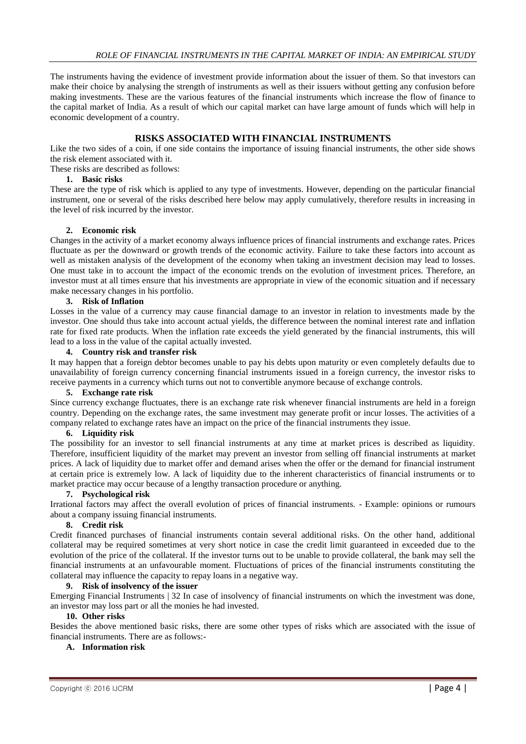The instruments having the evidence of investment provide information about the issuer of them. So that investors can make their choice by analysing the strength of instruments as well as their issuers without getting any confusion before making investments. These are the various features of the financial instruments which increase the flow of finance to the capital market of India. As a result of which our capital market can have large amount of funds which will help in economic development of a country.

# **RISKS ASSOCIATED WITH FINANCIAL INSTRUMENTS**

Like the two sides of a coin, if one side contains the importance of issuing financial instruments, the other side shows the risk element associated with it.

These risks are described as follows:

# **1. Basic risks**

These are the type of risk which is applied to any type of investments. However, depending on the particular financial instrument, one or several of the risks described here below may apply cumulatively, therefore results in increasing in the level of risk incurred by the investor.

## **2. Economic risk**

Changes in the activity of a market economy always influence prices of financial instruments and exchange rates. Prices fluctuate as per the downward or growth trends of the economic activity. Failure to take these factors into account as well as mistaken analysis of the development of the economy when taking an investment decision may lead to losses. One must take in to account the impact of the economic trends on the evolution of investment prices. Therefore, an investor must at all times ensure that his investments are appropriate in view of the economic situation and if necessary make necessary changes in his portfolio.

## **3. Risk of Inflation**

Losses in the value of a currency may cause financial damage to an investor in relation to investments made by the investor. One should thus take into account actual yields, the difference between the nominal interest rate and inflation rate for fixed rate products. When the inflation rate exceeds the yield generated by the financial instruments, this will lead to a loss in the value of the capital actually invested.

## **4. Country risk and transfer risk**

It may happen that a foreign debtor becomes unable to pay his debts upon maturity or even completely defaults due to unavailability of foreign currency concerning financial instruments issued in a foreign currency, the investor risks to receive payments in a currency which turns out not to convertible anymore because of exchange controls.

#### **5. Exchange rate risk**

Since currency exchange fluctuates, there is an exchange rate risk whenever financial instruments are held in a foreign country. Depending on the exchange rates, the same investment may generate profit or incur losses. The activities of a company related to exchange rates have an impact on the price of the financial instruments they issue.

#### **6. Liquidity risk**

The possibility for an investor to sell financial instruments at any time at market prices is described as liquidity. Therefore, insufficient liquidity of the market may prevent an investor from selling off financial instruments at market prices. A lack of liquidity due to market offer and demand arises when the offer or the demand for financial instrument at certain price is extremely low. A lack of liquidity due to the inherent characteristics of financial instruments or to market practice may occur because of a lengthy transaction procedure or anything.

#### **7. Psychological risk**

Irrational factors may affect the overall evolution of prices of financial instruments. - Example: opinions or rumours about a company issuing financial instruments.

#### **8. Credit risk**

Credit financed purchases of financial instruments contain several additional risks. On the other hand, additional collateral may be required sometimes at very short notice in case the credit limit guaranteed in exceeded due to the evolution of the price of the collateral. If the investor turns out to be unable to provide collateral, the bank may sell the financial instruments at an unfavourable moment. Fluctuations of prices of the financial instruments constituting the collateral may influence the capacity to repay loans in a negative way.

#### **9. Risk of insolvency of the issuer**

Emerging Financial Instruments | 32 In case of insolvency of financial instruments on which the investment was done, an investor may loss part or all the monies he had invested.

# **10. Other risks**

Besides the above mentioned basic risks, there are some other types of risks which are associated with the issue of financial instruments. There are as follows:-

## **A. Information risk**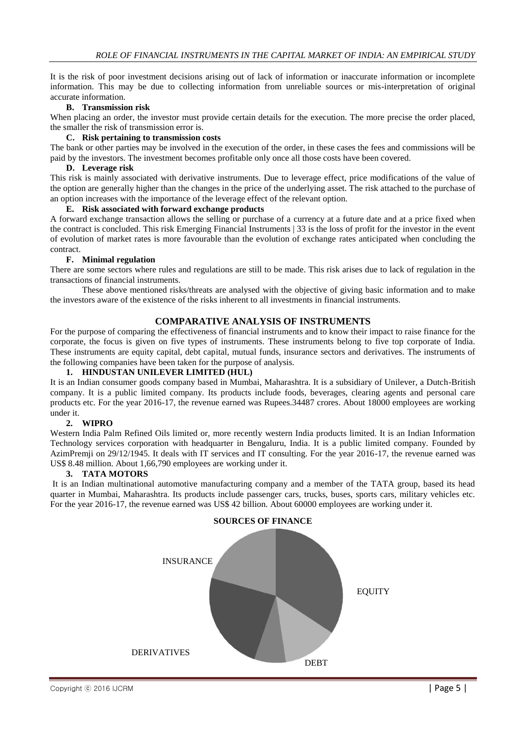It is the risk of poor investment decisions arising out of lack of information or inaccurate information or incomplete information. This may be due to collecting information from unreliable sources or mis-interpretation of original accurate information.

## **B. Transmission risk**

When placing an order, the investor must provide certain details for the execution. The more precise the order placed, the smaller the risk of transmission error is.

## **C. Risk pertaining to transmission costs**

The bank or other parties may be involved in the execution of the order, in these cases the fees and commissions will be paid by the investors. The investment becomes profitable only once all those costs have been covered.

#### **D. Leverage risk**

This risk is mainly associated with derivative instruments. Due to leverage effect, price modifications of the value of the option are generally higher than the changes in the price of the underlying asset. The risk attached to the purchase of an option increases with the importance of the leverage effect of the relevant option.

## **E. Risk associated with forward exchange products**

A forward exchange transaction allows the selling or purchase of a currency at a future date and at a price fixed when the contract is concluded. This risk Emerging Financial Instruments | 33 is the loss of profit for the investor in the event of evolution of market rates is more favourable than the evolution of exchange rates anticipated when concluding the contract.

#### **F. Minimal regulation**

There are some sectors where rules and regulations are still to be made. This risk arises due to lack of regulation in the transactions of financial instruments.

These above mentioned risks/threats are analysed with the objective of giving basic information and to make the investors aware of the existence of the risks inherent to all investments in financial instruments.

## **COMPARATIVE ANALYSIS OF INSTRUMENTS**

For the purpose of comparing the effectiveness of financial instruments and to know their impact to raise finance for the corporate, the focus is given on five types of instruments. These instruments belong to five top corporate of India. These instruments are equity capital, debt capital, mutual funds, insurance sectors and derivatives. The instruments of the following companies have been taken for the purpose of analysis.

## **1. HINDUSTAN UNILEVER LIMITED (HUL)**

It is an Indian consumer goods company based in Mumbai, Maharashtra. It is a subsidiary of Unilever, a Dutch-British company. It is a public limited company. Its products include foods, beverages, clearing agents and personal care products etc. For the year 2016-17, the revenue earned was Rupees.34487 crores. About 18000 employees are working under it.

#### **2. WIPRO**

Western India Palm Refined Oils limited or, more recently western India products limited. It is an Indian Information Technology services corporation with headquarter in Bengaluru, India. It is a public limited company. Founded by AzimPremji on 29/12/1945. It deals with IT services and IT consulting. For the year 2016-17, the revenue earned was US\$ 8.48 million. About 1,66,790 employees are working under it.

#### **3. TATA MOTORS**

It is an Indian multinational automotive manufacturing company and a member of the TATA group, based its head quarter in Mumbai, Maharashtra. Its products include passenger cars, trucks, buses, sports cars, military vehicles etc. For the year 2016-17, the revenue earned was US\$ 42 billion. About 60000 employees are working under it.

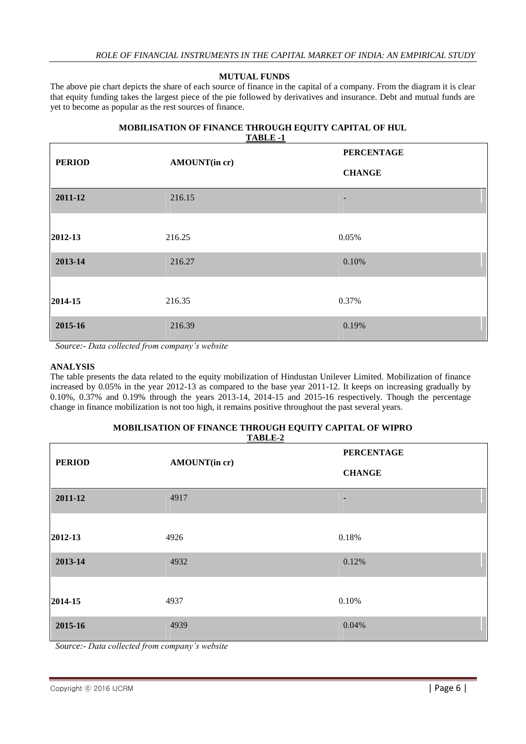## **MUTUAL FUNDS**

The above pie chart depicts the share of each source of finance in the capital of a company. From the diagram it is clear that equity funding takes the largest piece of the pie followed by derivatives and insurance. Debt and mutual funds are yet to become as popular as the rest sources of finance.

#### **MOBILISATION OF FINANCE THROUGH EQUITY CAPITAL OF HUL TABLE -1**

| <b>PERIOD</b> | AMOUNT(in cr) | <b>PERCENTAGE</b> |  |
|---------------|---------------|-------------------|--|
|               |               | <b>CHANGE</b>     |  |
| 2011-12       | 216.15        |                   |  |
| 2012-13       | 216.25        | 0.05%             |  |
| 2013-14       | 216.27        | 0.10%             |  |
| 2014-15       | 216.35        | 0.37%             |  |
| 2015-16       | 216.39        | 0.19%             |  |

# **ANALYSIS**

The table presents the data related to the equity mobilization of Hindustan Unilever Limited. Mobilization of finance increased by 0.05% in the year 2012-13 as compared to the base year 2011-12. It keeps on increasing gradually by 0.10%, 0.37% and 0.19% through the years 2013-14, 2014-15 and 2015-16 respectively. Though the percentage change in finance mobilization is not too high, it remains positive throughout the past several years.

#### **MOBILISATION OF FINANCE THROUGH EQUITY CAPITAL OF WIPRO TABLE-2**

| $1100 - 7$    |               |                   |
|---------------|---------------|-------------------|
| <b>PERIOD</b> |               | <b>PERCENTAGE</b> |
|               | AMOUNT(in cr) | <b>CHANGE</b>     |
| 2011-12       | 4917          |                   |
|               |               |                   |
| 2012-13       | 4926          | 0.18%             |
| 2013-14       | 4932          | 0.12%             |
|               |               |                   |
| 2014-15       | 4937          | 0.10%             |
| 2015-16       | 4939          | 0.04%             |

*Source:- Data collected from company's website*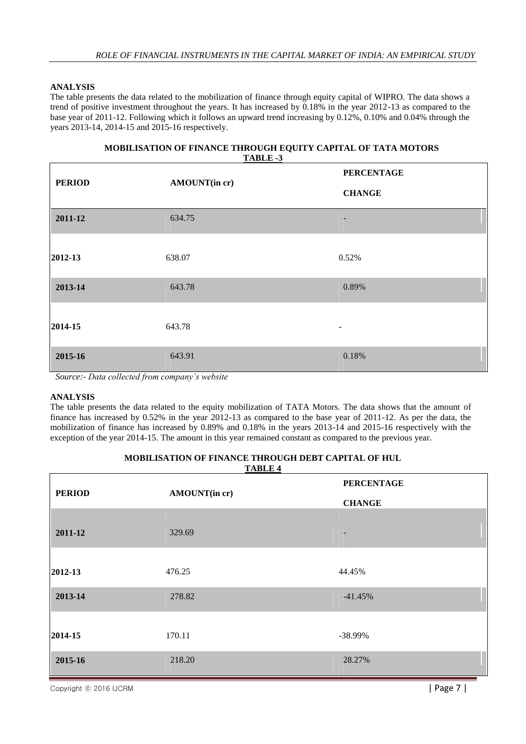The table presents the data related to the mobilization of finance through equity capital of WIPRO. The data shows a trend of positive investment throughout the years. It has increased by 0.18% in the year 2012-13 as compared to the base year of 2011-12. Following which it follows an upward trend increasing by 0.12%, 0.10% and 0.04% through the years 2013-14, 2014-15 and 2015-16 respectively.

| MOBILISATION OF FINANCE THROUGH EQUITY CAPITAL OF TATA MOTORS |
|---------------------------------------------------------------|
| <b>TABLE -3</b>                                               |

| <b>PERIOD</b> | AMOUNT(in cr) | <b>PERCENTAGE</b> |
|---------------|---------------|-------------------|
|               |               | <b>CHANGE</b>     |
| 2011-12       | 634.75        | -                 |
| 2012-13       | 638.07        | 0.52%             |
| 2013-14       | 643.78        | 0.89%             |
| 2014-15       | 643.78        | -                 |
| 2015-16       | 643.91        | 0.18%             |

*Source:- Data collected from company's website*

## **ANALYSIS**

The table presents the data related to the equity mobilization of TATA Motors. The data shows that the amount of finance has increased by 0.52% in the year 2012-13 as compared to the base year of 2011-12. As per the data, the mobilization of finance has increased by 0.89% and 0.18% in the years 2013-14 and 2015-16 respectively with the exception of the year 2014-15. The amount in this year remained constant as compared to the previous year.

|               |               | <b>PERCENTAGE</b> |
|---------------|---------------|-------------------|
| <b>PERIOD</b> | AMOUNT(in cr) | <b>CHANGE</b>     |
| 2011-12       | 329.69        | -                 |
| 2012-13       | 476.25        | 44.45%            |
| 2013-14       | 278.82        | $-41.45%$         |
| 2014-15       | 170.11        | -38.99%           |
| 2015-16       | 218.20        | 28.27%            |

## **MOBILISATION OF FINANCE THROUGH DEBT CAPITAL OF HUL TABLE 4**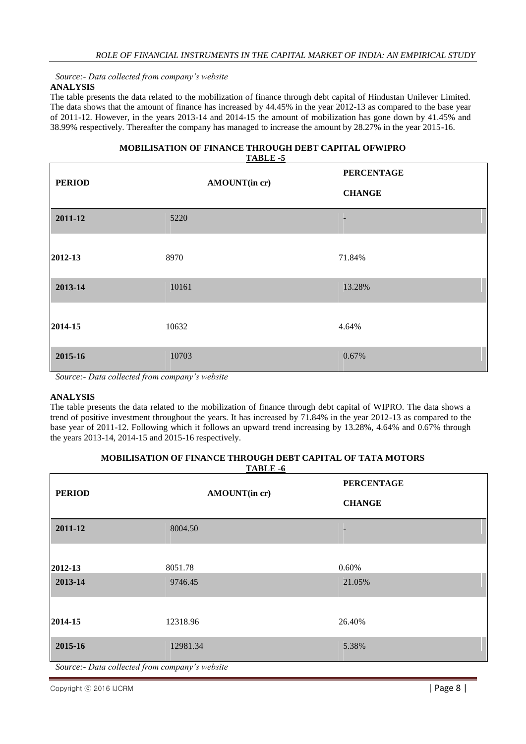*Source:- Data collected from company's website*

# **ANALYSIS**

The table presents the data related to the mobilization of finance through debt capital of Hindustan Unilever Limited. The data shows that the amount of finance has increased by 44.45% in the year 2012-13 as compared to the base year of 2011-12. However, in the years 2013-14 and 2014-15 the amount of mobilization has gone down by 41.45% and 38.99% respectively. Thereafter the company has managed to increase the amount by 28.27% in the year 2015-16.

## **MOBILISATION OF FINANCE THROUGH DEBT CAPITAL OFWIPRO TABLE -5**

| <b>PERIOD</b>               | AMOUNT(in cr)                                                              | <b>PERCENTAGE</b> |
|-----------------------------|----------------------------------------------------------------------------|-------------------|
|                             |                                                                            | <b>CHANGE</b>     |
| 2011-12                     | 5220                                                                       | -                 |
| 2012-13                     | 8970                                                                       | 71.84%            |
| 2013-14                     | 10161                                                                      | 13.28%            |
| 2014-15                     | 10632                                                                      | 4.64%             |
| 2015-16<br>$\sim$<br>$\sim$ | 10703<br>$\sim$ $\sim$ $\sim$ $\sim$ $\sim$<br>$\sim$ $\sim$ $\sim$ $\sim$ | 0.67%             |

*Source:- Data collected from company's website*

## **ANALYSIS**

The table presents the data related to the mobilization of finance through debt capital of WIPRO. The data shows a trend of positive investment throughout the years. It has increased by 71.84% in the year 2012-13 as compared to the base year of 2011-12. Following which it follows an upward trend increasing by 13.28%, 4.64% and 0.67% through the years 2013-14, 2014-15 and 2015-16 respectively.

| <b>PERIOD</b>      |                                                | TADLE -0<br>AMOUNT(in cr) | <b>PERCENTAGE</b><br><b>CHANGE</b> |  |
|--------------------|------------------------------------------------|---------------------------|------------------------------------|--|
| 2011-12            | 8004.50                                        |                           |                                    |  |
| 2012-13<br>2013-14 | 8051.78<br>9746.45                             |                           | 0.60%<br>21.05%                    |  |
| 2014-15            | 12318.96                                       |                           | 26.40%                             |  |
| 2015-16            | 12981.34                                       |                           | 5.38%                              |  |
|                    | Source:- Data collected from company's website |                           |                                    |  |

#### **MOBILISATION OF FINANCE THROUGH DEBT CAPITAL OF TATA MOTORS**  $T$ **ADIE**  $\epsilon$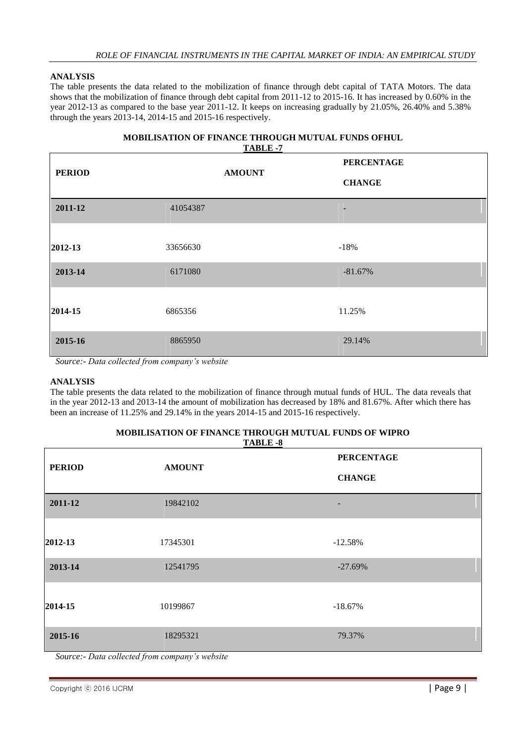The table presents the data related to the mobilization of finance through debt capital of TATA Motors. The data shows that the mobilization of finance through debt capital from 2011-12 to 2015-16. It has increased by 0.60% in the year 2012-13 as compared to the base year 2011-12. It keeps on increasing gradually by 21.05%, 26.40% and 5.38% through the years 2013-14, 2014-15 and 2015-16 respectively.

#### **MOBILISATION OF FINANCE THROUGH MUTUAL FUNDS OFHUL TABLE -7**

| <b>PERIOD</b> | <b>AMOUNT</b> | **************<br><b>PERCENTAGE</b><br><b>CHANGE</b> |
|---------------|---------------|------------------------------------------------------|
| 2011-12       | 41054387      |                                                      |
| 2012-13       | 33656630      | $-18%$                                               |
| 2013-14       | 6171080       | $-81.67%$                                            |
| 2014-15       | 6865356       | 11.25%                                               |
| 2015-16       | 8865950       | 29.14%                                               |

*Source:- Data collected from company's website*

# **ANALYSIS**

The table presents the data related to the mobilization of finance through mutual funds of HUL. The data reveals that in the year 2012-13 and 2013-14 the amount of mobilization has decreased by 18% and 81.67%. After which there has been an increase of 11.25% and 29.14% in the years 2014-15 and 2015-16 respectively.

#### **MOBILISATION OF FINANCE THROUGH MUTUAL FUNDS OF WIPRO TABLE -8**

| <b>PERIOD</b> | <b>AMOUNT</b> | <b>PERCENTAGE</b><br><b>CHANGE</b> |
|---------------|---------------|------------------------------------|
| 2011-12       | 19842102      |                                    |
| 2012-13       | 17345301      | $-12.58%$                          |
| 2013-14       | 12541795      | $-27.69%$                          |
| 2014-15       | 10199867      | $-18.67%$                          |
| 2015-16       | 18295321      | 79.37%                             |

*Source:- Data collected from company's website*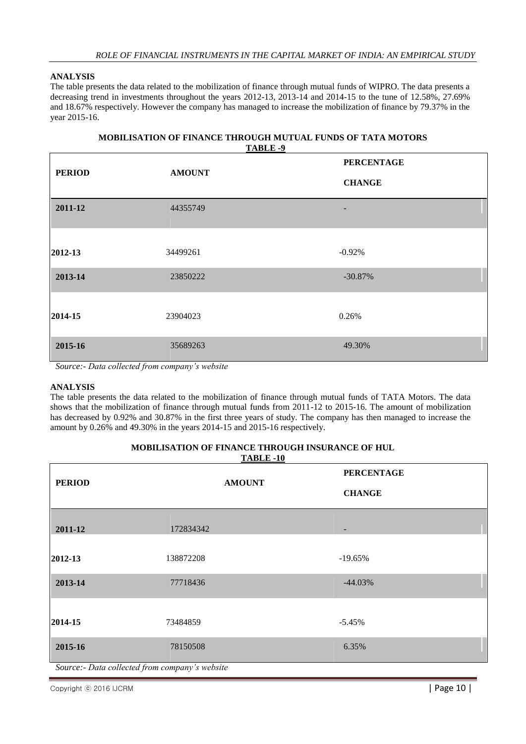The table presents the data related to the mobilization of finance through mutual funds of WIPRO. The data presents a decreasing trend in investments throughout the years 2012-13, 2013-14 and 2014-15 to the tune of 12.58%, 27.69% and 18.67% respectively. However the company has managed to increase the mobilization of finance by 79.37% in the year 2015-16.

## **MOBILISATION OF FINANCE THROUGH MUTUAL FUNDS OF TATA MOTORS TABLE -9**

| <b>PERIOD</b> | <b>AMOUNT</b> | <b>PERCENTAGE</b> |  |
|---------------|---------------|-------------------|--|
|               |               | <b>CHANGE</b>     |  |
| 2011-12       | 44355749      | -                 |  |
|               |               |                   |  |
| 2012-13       | 34499261      | $-0.92%$          |  |
| 2013-14       | 23850222      | $-30.87%$         |  |
| 2014-15       | 23904023      | 0.26%             |  |
| 2015-16       | 35689263      | 49.30%            |  |

*Source:- Data collected from company's website*

## **ANALYSIS**

The table presents the data related to the mobilization of finance through mutual funds of TATA Motors. The data shows that the mobilization of finance through mutual funds from 2011-12 to 2015-16. The amount of mobilization has decreased by 0.92% and 30.87% in the first three years of study. The company has then managed to increase the amount by 0.26% and 49.30% in the years 2014-15 and 2015-16 respectively.

#### **MOBILISATION OF FINANCE THROUGH INSURANCE OF HUL TABLE -10**

|               |               | <b>PERCENTAGE</b>        |
|---------------|---------------|--------------------------|
| <b>PERIOD</b> | <b>AMOUNT</b> | <b>CHANGE</b>            |
| 2011-12       | 172834342     | $\overline{\phantom{a}}$ |
| 2012-13       | 138872208     | $-19.65%$                |
| 2013-14       | 77718436      | $-44.03%$                |
| 2014-15       | 73484859      | $-5.45%$                 |
| 2015-16       | 78150508      | 6.35%                    |

Copyright © 2016 IJCRM **| Page 10 | Page 10 | Page 10 | Page 10 | Page 10 | Page 10 | Page 10 | Page 10 | Page 10 | Page 10 | Page 10 | Page 10 | Page 10 | Page 10 | Page 10 | Page 10 | Page 10 | Page 10 | Page 10 | Page 1**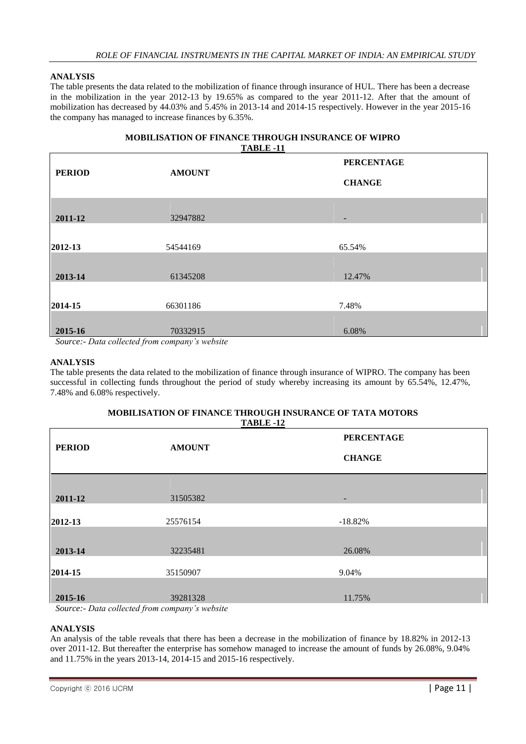The table presents the data related to the mobilization of finance through insurance of HUL. There has been a decrease in the mobilization in the year 2012-13 by 19.65% as compared to the year 2011-12. After that the amount of mobilization has decreased by 44.03% and 5.45% in 2013-14 and 2014-15 respectively. However in the year 2015-16 the company has managed to increase finances by 6.35%.

## **MOBILISATION OF FINANCE THROUGH INSURANCE OF WIPRO TABLE -11**

| <b>PERIOD</b>     | <b>AMOUNT</b>                          | <b>PERCENTAGE</b> |  |
|-------------------|----------------------------------------|-------------------|--|
|                   |                                        | <b>CHANGE</b>     |  |
| 2011-12           | 32947882                               | ٠                 |  |
| 2012-13           | 54544169                               | 65.54%            |  |
| 2013-14           | 61345208                               | 12.47%            |  |
| 2014-15           | 66301186                               | 7.48%             |  |
| 2015-16<br>$\sim$ | 70332915<br>$\sim$<br>$\sim$<br>$\sim$ | 6.08%             |  |

*Source:- Data collected from company's website*

## **ANALYSIS**

The table presents the data related to the mobilization of finance through insurance of WIPRO. The company has been successful in collecting funds throughout the period of study whereby increasing its amount by 65.54%, 12.47%, 7.48% and 6.08% respectively.

## **MOBILISATION OF FINANCE THROUGH INSURANCE OF TATA MOTORS TABLE -12**

| <b>PERIOD</b><br><b>AMOUNT</b> | <b>PERCENTAGE</b>                                                                                                     |
|--------------------------------|-----------------------------------------------------------------------------------------------------------------------|
|                                | <b>CHANGE</b>                                                                                                         |
|                                |                                                                                                                       |
| 31505382                       | $\overline{\phantom{0}}$                                                                                              |
|                                |                                                                                                                       |
| 25576154                       | $-18.82%$                                                                                                             |
|                                |                                                                                                                       |
| 32235481                       | 26.08%                                                                                                                |
|                                |                                                                                                                       |
| 35150907                       | 9.04%                                                                                                                 |
|                                |                                                                                                                       |
| 39281328                       | 11.75%                                                                                                                |
|                                | $\mathbf{C}$ $\mathbf{D}_{\text{min}} = \mathbf{H}_{\text{min}} + \mathbf{J}$ from some sum $\mathbf{L}_{\text{min}}$ |

*Source:- Data collected from company's website*

## **ANALYSIS**

An analysis of the table reveals that there has been a decrease in the mobilization of finance by 18.82% in 2012-13 over 2011-12. But thereafter the enterprise has somehow managed to increase the amount of funds by 26.08%, 9.04% and 11.75% in the years 2013-14, 2014-15 and 2015-16 respectively.